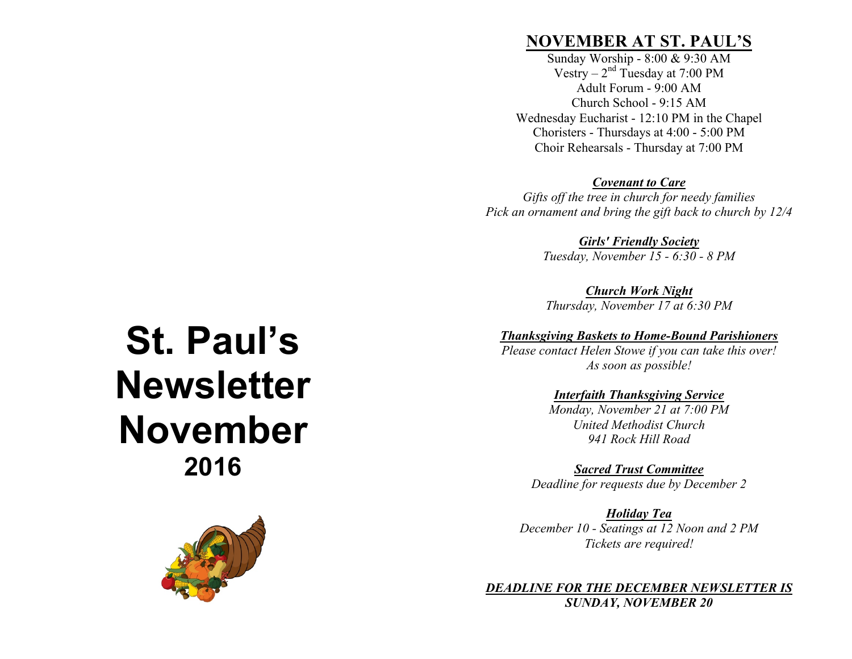## **NOVEMBER AT ST. PAUL'S**

Sunday Worship - 8:00 & 9:30 AM Vestry –  $2<sup>nd</sup>$  Tuesday at 7:00 PM Adult Forum - 9:00 AM Church School - 9:15 AM Wednesday Eucharist - 12:10 PM in the Chapel Choristers - Thursdays at 4:00 - 5:00 PM Choir Rehearsals - Thursday at 7:00 PM

#### *Covenant to Care*

*Gifts off the tree in church for needy families Pick an ornament and bring the gift back to church by 12/4*

> *Girls' Friendly Society Tuesday, November 15 - 6:30 - 8 PM*

*Church Work Night Thursday, November 17 at 6:30 PM*

#### *Thanksgiving Baskets to Home-Bound Parishioners*

*Please contact Helen Stowe if you can take this over! As soon as possible!*

#### *Interfaith Thanksgiving Service*

*Monday, November 21 at 7:00 PM United Methodist Church 941 Rock Hill Road*

*Sacred Trust Committee Deadline for requests due by December 2*

*Holiday Tea December 10 - Seatings at 12 Noon and 2 PM Tickets are required!*

*DEADLINE FOR THE DECEMBER NEWSLETTER IS SUNDAY, NOVEMBER 20*

# **St. Paul's Newsletter November 2016**

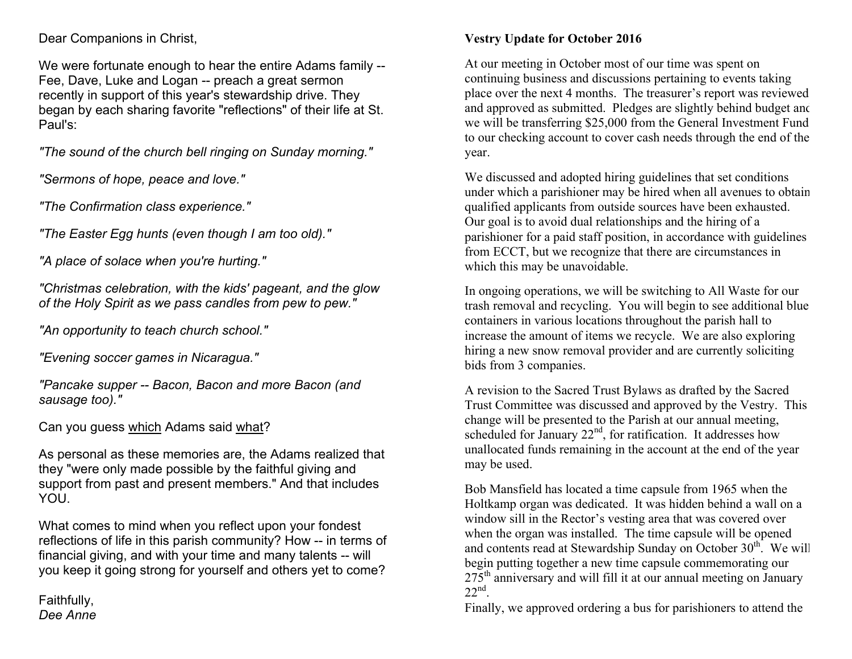#### Dear Companions in Christ,

We were fortunate enough to hear the entire Adams family -- Fee, Dave, Luke and Logan -- preach a great sermon recently in support of this year's stewardship drive. They began by each sharing favorite "reflections" of their life at St. Paul's:

*"The sound of the church bell ringing on Sunday morning."*

*"Sermons of hope, peace and love."*

*"The Confirmation class experience."*

*"The Easter Egg hunts (even though I am too old)."*

*"A place of solace when you're hurting."*

*"Christmas celebration, with the kids' pageant, and the glow of the Holy Spirit as we pass candles from pew to pew."*

*"An opportunity to teach church school."*

*"Evening soccer games in Nicaragua."*

*"Pancake supper -- Bacon, Bacon and more Bacon (and sausage too)."*

Can you guess which Adams said what?

As personal as these memories are, the Adams realized that they "were only made possible by the faithful giving and support from past and present members." And that includes YOU.

What comes to mind when you reflect upon your fondest reflections of life in this parish community? How -- in terms of financial giving, and with your time and many talents -- will you keep it going strong for yourself and others yet to come?

Faithfully, *Dee Anne*

### **Vestry Update for October 2016**

At our meeting in October most of our time was spent on continuing business and discussions pertaining to events taking place over the next 4 months. The treasurer's report was reviewed and approved as submitted. Pledges are slightly behind budget and we will be transferring \$25,000 from the General Investment Fund to our checking account to cover cash needs through the end of the year.

We discussed and adopted hiring guidelines that set conditions under which a parishioner may be hired when all avenues to obtain qualified applicants from outside sources have been exhausted. Our goal is to avoid dual relationships and the hiring of a parishioner for a paid staff position, in accordance with guidelines from ECCT, but we recognize that there are circumstances in which this may be unavoidable.

In ongoing operations, we will be switching to All Waste for our trash removal and recycling. You will begin to see additional blue containers in various locations throughout the parish hall to increase the amount of items we recycle. We are also exploring hiring a new snow removal provider and are currently soliciting bids from 3 companies.

A revision to the Sacred Trust Bylaws as drafted by the Sacred Trust Committee was discussed and approved by the Vestry. This change will be presented to the Parish at our annual meeting, scheduled for January  $22<sup>nd</sup>$ , for ratification. It addresses how unallocated funds remaining in the account at the end of the year may be used.

Bob Mansfield has located a time capsule from 1965 when the Holtkamp organ was dedicated. It was hidden behind a wall on a window sill in the Rector's vesting area that was covered over when the organ was installed. The time capsule will be opened and contents read at Stewardship Sunday on October  $30<sup>th</sup>$ . We will begin putting together a new time capsule commemorating our  $275<sup>th</sup>$  anniversary and will fill it at our annual meeting on January  $22<sup>nd</sup>$ 

Finally, we approved ordering a bus for parishioners to attend the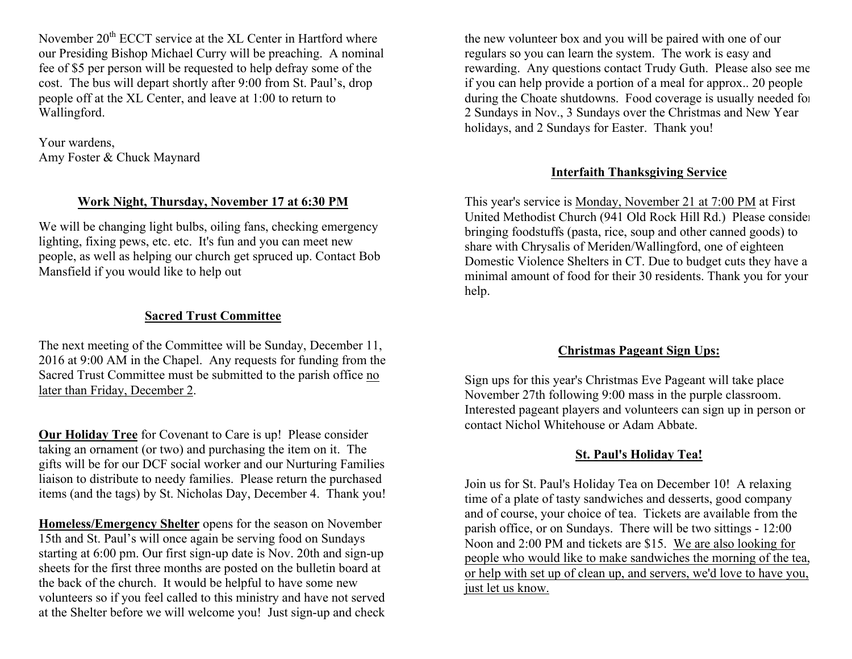November  $20<sup>th</sup> ECCT$  service at the XL Center in Hartford where our Presiding Bishop Michael Curry will be preaching. A nominal fee of \$5 per person will be requested to help defray some of the cost. The bus will depart shortly after 9:00 from St. Paul's, drop people off at the XL Center, and leave at 1:00 to return to Wallingford.

Your wardens, Amy Foster & Chuck Maynard

#### **Work Night, Thursday, November 17 at 6:30 PM**

We will be changing light bulbs, oiling fans, checking emergency lighting, fixing pews, etc. etc. It's fun and you can meet new people, as well as helping our church get spruced up. Contact Bob Mansfield if you would like to help out

#### **Sacred Trust Committee**

The next meeting of the Committee will be Sunday, December 11, 2016 at 9:00 AM in the Chapel. Any requests for funding from the Sacred Trust Committee must be submitted to the parish office no later than Friday, December 2.

**Our Holiday Tree** for Covenant to Care is up! Please consider taking an ornament (or two) and purchasing the item on it. The gifts will be for our DCF social worker and our Nurturing Families liaison to distribute to needy families. Please return the purchased items (and the tags) by St. Nicholas Day, December 4. Thank you!

**Homeless/Emergency Shelter** opens for the season on November 15th and St. Paul's will once again be serving food on Sundays starting at 6:00 pm. Our first sign-up date is Nov. 20th and sign-up sheets for the first three months are posted on the bulletin board at the back of the church. It would be helpful to have some new volunteers so if you feel called to this ministry and have not served at the Shelter before we will welcome you! Just sign-up and check

the new volunteer box and you will be paired with one of our regulars so you can learn the system. The work is easy and rewarding. Any questions contact Trudy Guth. Please also see me if you can help provide a portion of a meal for approx.. 20 people during the Choate shutdowns. Food coverage is usually needed for 2 Sundays in Nov., 3 Sundays over the Christmas and New Year holidays, and 2 Sundays for Easter. Thank you!

#### **Interfaith Thanksgiving Service**

This year's service is Monday, November 21 at 7:00 PM at First United Methodist Church (941 Old Rock Hill Rd.) Please consider bringing foodstuffs (pasta, rice, soup and other canned goods) to share with Chrysalis of Meriden/Wallingford, one of eighteen Domestic Violence Shelters in CT. Due to budget cuts they have a minimal amount of food for their 30 residents. Thank you for your help.

#### **Christmas Pageant Sign Ups:**

Sign ups for this year's Christmas Eve Pageant will take place November 27th following 9:00 mass in the purple classroom. Interested pageant players and volunteers can sign up in person or contact Nichol Whitehouse or Adam Abbate.

#### **St. Paul's Holiday Tea!**

Join us for St. Paul's Holiday Tea on December 10! A relaxing time of a plate of tasty sandwiches and desserts, good company and of course, your choice of tea. Tickets are available from the parish office, or on Sundays. There will be two sittings - 12:00 Noon and 2:00 PM and tickets are \$15. We are also looking for people who would like to make sandwiches the morning of the tea, or help with set up of clean up, and servers, we'd love to have you, just let us know.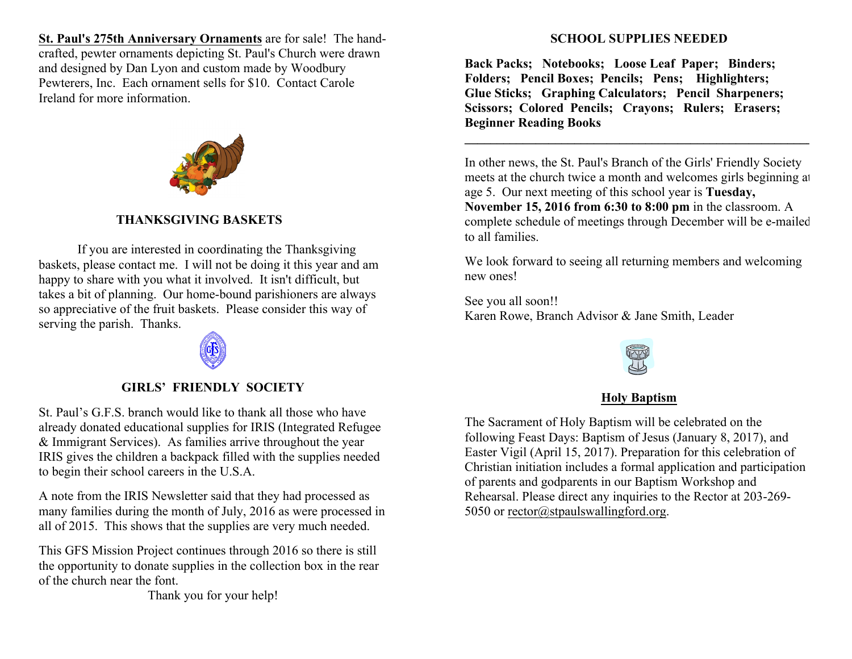**St. Paul's 275th Anniversary Ornaments** are for sale! The handcrafted, pewter ornaments depicting St. Paul's Church were drawn and designed by Dan Lyon and custom made by Woodbury Pewterers, Inc. Each ornament sells for \$10. Contact Carole Ireland for more information.



#### **THANKSGIVING BASKETS**

If you are interested in coordinating the Thanksgiving baskets, please contact me. I will not be doing it this year and am happy to share with you what it involved. It isn't difficult, but takes a bit of planning. Our home-bound parishioners are always so appreciative of the fruit baskets. Please consider this way of serving the parish. Thanks.

**GIRLS' FRIENDLY SOCIETY**

St. Paul's G.F.S. branch would like to thank all those who have already donated educational supplies for IRIS (Integrated Refugee & Immigrant Services). As families arrive throughout the year IRIS gives the children a backpack filled with the supplies needed to begin their school careers in the U.S.A.

A note from the IRIS Newsletter said that they had processed as many families during the month of July, 2016 as were processed in all of 2015. This shows that the supplies are very much needed.

This GFS Mission Project continues through 2016 so there is still the opportunity to donate supplies in the collection box in the rear of the church near the font.

Thank you for your help!

#### **SCHOOL SUPPLIES NEEDED**

**Back Packs; Notebooks; Loose Leaf Paper; Binders; Folders; Pencil Boxes; Pencils; Pens; Highlighters; Glue Sticks; Graphing Calculators; Pencil Sharpeners; Scissors; Colored Pencils; Crayons; Rulers; Erasers; Beginner Reading Books**

In other news, the St. Paul's Branch of the Girls' Friendly Society meets at the church twice a month and welcomes girls beginning at age 5. Our next meeting of this school year is **Tuesday, November 15, 2016 from 6:30 to 8:00 pm** in the classroom. A complete schedule of meetings through December will be e-mailed to all families.

**\_\_\_\_\_\_\_\_\_\_\_\_\_\_\_\_\_\_\_\_\_\_\_\_\_\_\_\_\_\_\_\_\_\_\_\_\_\_\_\_\_\_\_\_\_\_\_\_\_\_\_\_\_\_**

We look forward to seeing all returning members and welcoming new ones!

See you all soon!! Karen Rowe, Branch Advisor & Jane Smith, Leader

#### **Holy Baptism**

The Sacrament of Holy Baptism will be celebrated on the following Feast Days: Baptism of Jesus (January 8, 2017), and Easter Vigil (April 15, 2017). Preparation for this celebration of Christian initiation includes a formal application and participation of parents and godparents in our Baptism Workshop and Rehearsal. Please direct any inquiries to the Rector at 203-269- 5050 or rector@stpaulswallingford.org.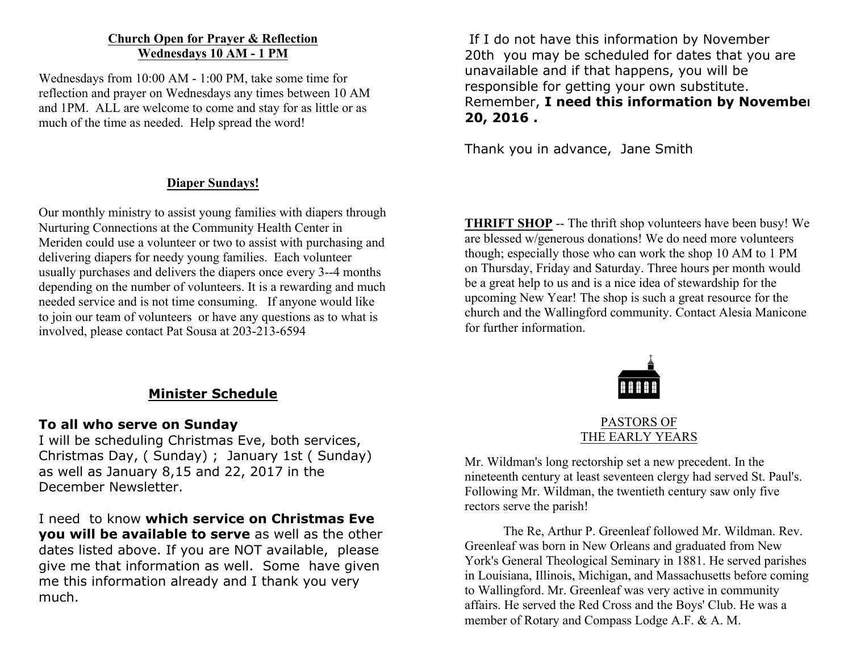#### **Church Open for Prayer & Reflection Wednesdays 10 AM - 1 PM**

Wednesdays from 10:00 AM - 1:00 PM, take some time for reflection and prayer on Wednesdays any times between 10 AM and 1PM. ALL are welcome to come and stay for as little or as much of the time as needed. Help spread the word!

#### **Diaper Sundays!**

Our monthly ministry to assist young families with diapers through Nurturing Connections at the Community Health Center in Meriden could use a volunteer or two to assist with purchasing and delivering diapers for needy young families. Each volunteer usually purchases and delivers the diapers once every 3--4 months depending on the number of volunteers. It is a rewarding and much needed service and is not time consuming. If anyone would like to join our team of volunteers or have any questions as to what is involved, please contact Pat Sousa at 203-213-6594

#### **Minister Schedule**

#### **To all who serve on Sunday**

I will be scheduling Christmas Eve, both services, Christmas Day, ( Sunday) ; January 1st ( Sunday) as well as January 8,15 and 22, 2017 in the December Newsletter.

I need to know **which service on Christmas Eve you will be available to serve** as well as the other dates listed above. If you are NOT available, please give me that information as well. Some have given me this information already and I thank you very much.

If I do not have this information by November 20th you may be scheduled for dates that you are unavailable and if that happens, you will be responsible for getting your own substitute. Remember, **I need this information by November 20, 2016 .**

Thank you in advance, Jane Smith

**THRIFT SHOP** -- The thrift shop volunteers have been busy! We are blessed w/generous donations! We do need more volunteers though; especially those who can work the shop 10 AM to 1 PM on Thursday, Friday and Saturday. Three hours per month would be a great help to us and is a nice idea of stewardship for the upcoming New Year! The shop is such a great resource for the church and the Wallingford community. Contact Alesia Manicone for further information.



PASTORS OF THE EARLY YEARS

Mr. Wildman's long rectorship set a new precedent. In the nineteenth century at least seventeen clergy had served St. Paul's. Following Mr. Wildman, the twentieth century saw only five rectors serve the parish!

The Re, Arthur P. Greenleaf followed Mr. Wildman. Rev. Greenleaf was born in New Orleans and graduated from New York's General Theological Seminary in 1881. He served parishes in Louisiana, Illinois, Michigan, and Massachusetts before coming to Wallingford. Mr. Greenleaf was very active in community affairs. He served the Red Cross and the Boys' Club. He was a member of Rotary and Compass Lodge A.F. & A. M.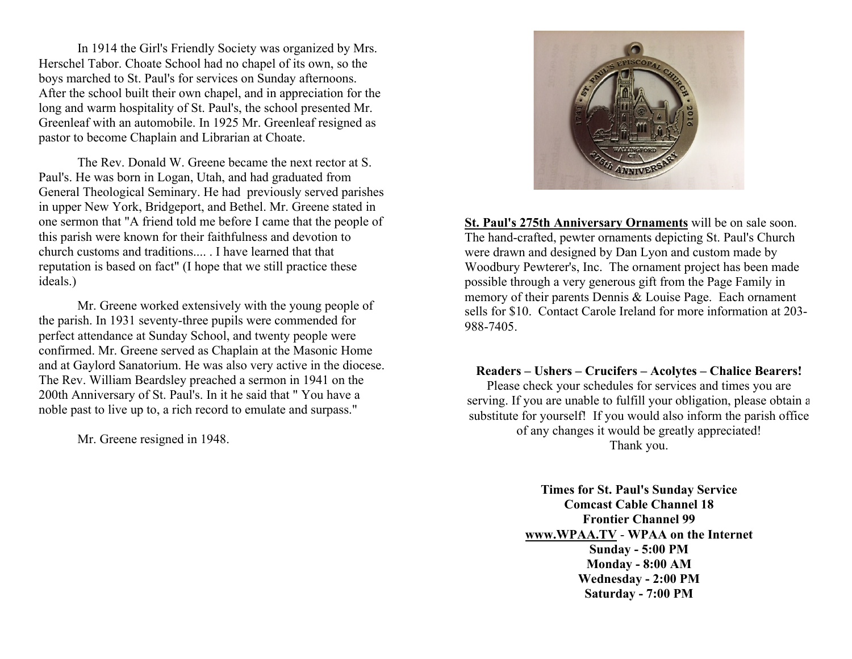In 1914 the Girl's Friendly Society was organized by Mrs. Herschel Tabor. Choate School had no chapel of its own, so the boys marched to St. Paul's for services on Sunday afternoons. After the school built their own chapel, and in appreciation for the long and warm hospitality of St. Paul's, the school presented Mr. Greenleaf with an automobile. In 1925 Mr. Greenleaf resigned as pastor to become Chaplain and Librarian at Choate.

The Rev. Donald W. Greene became the next rector at S. Paul's. He was born in Logan, Utah, and had graduated from General Theological Seminary. He had previously served parishes in upper New York, Bridgeport, and Bethel. Mr. Greene stated in one sermon that "A friend told me before I came that the people of this parish were known for their faithfulness and devotion to church customs and traditions.... . I have learned that that reputation is based on fact" (I hope that we still practice these ideals.)

Mr. Greene worked extensively with the young people of the parish. In 1931 seventy-three pupils were commended for perfect attendance at Sunday School, and twenty people were confirmed. Mr. Greene served as Chaplain at the Masonic Home and at Gaylord Sanatorium. He was also very active in the diocese. The Rev. William Beardsley preached a sermon in 1941 on the 200th Anniversary of St. Paul's. In it he said that " You have a noble past to live up to, a rich record to emulate and surpass."

Mr. Greene resigned in 1948.



**St. Paul's 275th Anniversary Ornaments** will be on sale soon. The hand-crafted, pewter ornaments depicting St. Paul's Church were drawn and designed by Dan Lyon and custom made by Woodbury Pewterer's, Inc. The ornament project has been made possible through a very generous gift from the Page Family in memory of their parents Dennis & Louise Page. Each ornament sells for \$10. Contact Carole Ireland for more information at 203- 988-7405.

**Readers – Ushers – Crucifers – Acolytes – Chalice Bearers!** Please check your schedules for services and times you are serving. If you are unable to fulfill your obligation, please obtain a substitute for yourself! If you would also inform the parish office of any changes it would be greatly appreciated! Thank you.

> **Times for St. Paul's Sunday Service Comcast Cable Channel 18 Frontier Channel 99 www.WPAA.TV** - **WPAA on the Internet Sunday - 5:00 PM Monday - 8:00 AM Wednesday - 2:00 PM Saturday - 7:00 PM**